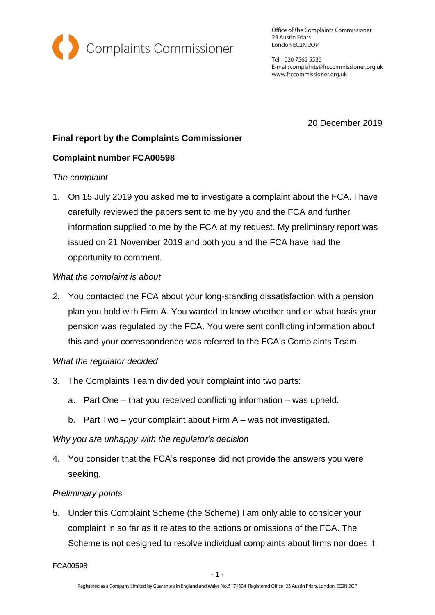

Office of the Complaints Commissioner 23 Austin Friars London EC2N 2QP

Tel: 020 7562 5530 E-mail: complaints@frccommissioner.org.uk www.frccommissioner.org.uk

20 December 2019

# **Final report by the Complaints Commissioner**

## **Complaint number FCA00598**

### *The complaint*

1. On 15 July 2019 you asked me to investigate a complaint about the FCA. I have carefully reviewed the papers sent to me by you and the FCA and further information supplied to me by the FCA at my request. My preliminary report was issued on 21 November 2019 and both you and the FCA have had the opportunity to comment.

### *What the complaint is about*

*2.* You contacted the FCA about your long-standing dissatisfaction with a pension plan you hold with Firm A. You wanted to know whether and on what basis your pension was regulated by the FCA. You were sent conflicting information about this and your correspondence was referred to the FCA's Complaints Team.

## *What the regulator decided*

- 3. The Complaints Team divided your complaint into two parts:
	- a. Part One that you received conflicting information was upheld.
	- b. Part Two your complaint about Firm A was not investigated.

### *Why you are unhappy with the regulator's decision*

4. You consider that the FCA's response did not provide the answers you were seeking.

### *Preliminary points*

5. Under this Complaint Scheme (the Scheme) I am only able to consider your complaint in so far as it relates to the actions or omissions of the FCA. The Scheme is not designed to resolve individual complaints about firms nor does it

FCA00598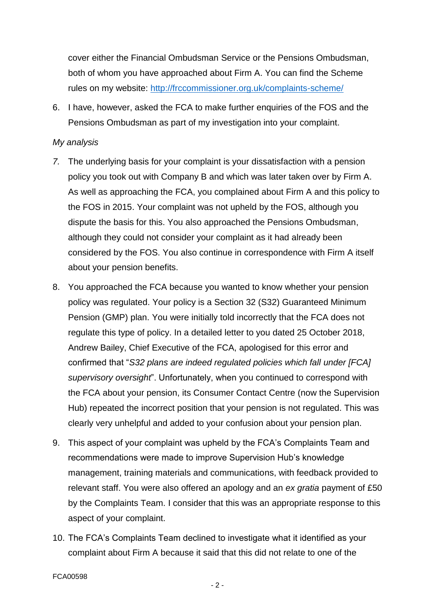cover either the Financial Ombudsman Service or the Pensions Ombudsman, both of whom you have approached about Firm A. You can find the Scheme rules on my website:<http://frccommissioner.org.uk/complaints-scheme/>

6. I have, however, asked the FCA to make further enquiries of the FOS and the Pensions Ombudsman as part of my investigation into your complaint.

### *My analysis*

- *7.* The underlying basis for your complaint is your dissatisfaction with a pension policy you took out with Company B and which was later taken over by Firm A. As well as approaching the FCA, you complained about Firm A and this policy to the FOS in 2015. Your complaint was not upheld by the FOS, although you dispute the basis for this. You also approached the Pensions Ombudsman, although they could not consider your complaint as it had already been considered by the FOS. You also continue in correspondence with Firm A itself about your pension benefits.
- 8. You approached the FCA because you wanted to know whether your pension policy was regulated. Your policy is a Section 32 (S32) Guaranteed Minimum Pension (GMP) plan. You were initially told incorrectly that the FCA does not regulate this type of policy. In a detailed letter to you dated 25 October 2018, Andrew Bailey, Chief Executive of the FCA, apologised for this error and confirmed that "*S32 plans are indeed regulated policies which fall under [FCA] supervisory oversight*". Unfortunately, when you continued to correspond with the FCA about your pension, its Consumer Contact Centre (now the Supervision Hub) repeated the incorrect position that your pension is not regulated. This was clearly very unhelpful and added to your confusion about your pension plan.
- 9. This aspect of your complaint was upheld by the FCA's Complaints Team and recommendations were made to improve Supervision Hub's knowledge management, training materials and communications, with feedback provided to relevant staff. You were also offered an apology and an *ex gratia* payment of £50 by the Complaints Team. I consider that this was an appropriate response to this aspect of your complaint.
- 10. The FCA's Complaints Team declined to investigate what it identified as your complaint about Firm A because it said that this did not relate to one of the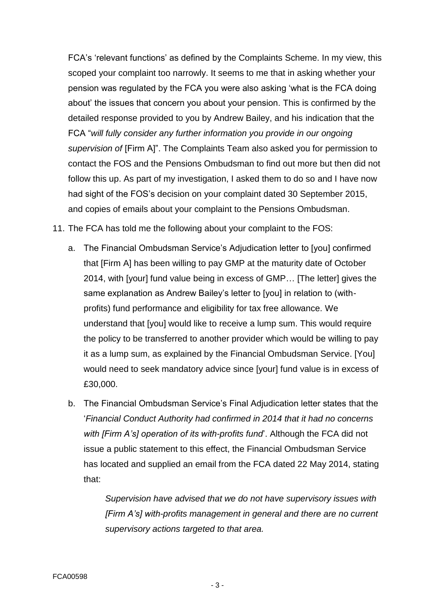FCA's 'relevant functions' as defined by the Complaints Scheme. In my view, this scoped your complaint too narrowly. It seems to me that in asking whether your pension was regulated by the FCA you were also asking 'what is the FCA doing about' the issues that concern you about your pension. This is confirmed by the detailed response provided to you by Andrew Bailey, and his indication that the FCA "*will fully consider any further information you provide in our ongoing supervision of* [Firm A]". The Complaints Team also asked you for permission to contact the FOS and the Pensions Ombudsman to find out more but then did not follow this up. As part of my investigation, I asked them to do so and I have now had sight of the FOS's decision on your complaint dated 30 September 2015, and copies of emails about your complaint to the Pensions Ombudsman.

- 11. The FCA has told me the following about your complaint to the FOS:
	- a. The Financial Ombudsman Service's Adjudication letter to [you] confirmed that [Firm A] has been willing to pay GMP at the maturity date of October 2014, with [your] fund value being in excess of GMP… [The letter] gives the same explanation as Andrew Bailey's letter to [you] in relation to (withprofits) fund performance and eligibility for tax free allowance. We understand that [you] would like to receive a lump sum. This would require the policy to be transferred to another provider which would be willing to pay it as a lump sum, as explained by the Financial Ombudsman Service. [You] would need to seek mandatory advice since [your] fund value is in excess of £30,000.
	- b. The Financial Ombudsman Service's Final Adjudication letter states that the '*Financial Conduct Authority had confirmed in 2014 that it had no concerns with [Firm A's] operation of its with-profits fund*'. Although the FCA did not issue a public statement to this effect, the Financial Ombudsman Service has located and supplied an email from the FCA dated 22 May 2014, stating that:

*Supervision have advised that we do not have supervisory issues with [Firm A's] with-profits management in general and there are no current supervisory actions targeted to that area.*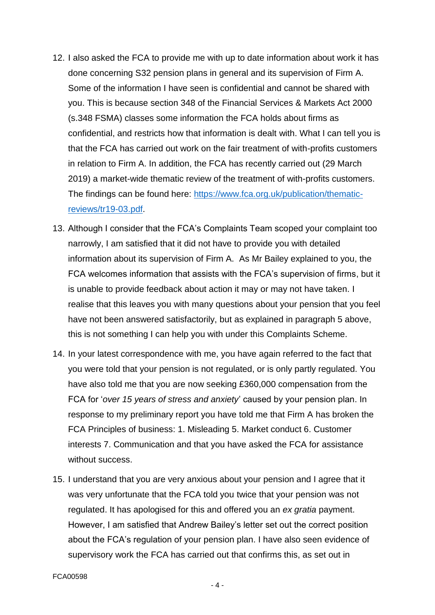- 12. I also asked the FCA to provide me with up to date information about work it has done concerning S32 pension plans in general and its supervision of Firm A. Some of the information I have seen is confidential and cannot be shared with you. This is because section 348 of the Financial Services & Markets Act 2000 (s.348 FSMA) classes some information the FCA holds about firms as confidential, and restricts how that information is dealt with. What I can tell you is that the FCA has carried out work on the fair treatment of with-profits customers in relation to Firm A. In addition, the FCA has recently carried out (29 March 2019) a market-wide thematic review of the treatment of with-profits customers. The findings can be found here: [https://www.fca.org.uk/publication/thematic](https://www.fca.org.uk/publication/thematic-reviews/tr19-03.pdf)[reviews/tr19-03.pdf.](https://www.fca.org.uk/publication/thematic-reviews/tr19-03.pdf)
- 13. Although I consider that the FCA's Complaints Team scoped your complaint too narrowly, I am satisfied that it did not have to provide you with detailed information about its supervision of Firm A. As Mr Bailey explained to you, the FCA welcomes information that assists with the FCA's supervision of firms, but it is unable to provide feedback about action it may or may not have taken. I realise that this leaves you with many questions about your pension that you feel have not been answered satisfactorily, but as explained in paragraph 5 above, this is not something I can help you with under this Complaints Scheme.
- 14. In your latest correspondence with me, you have again referred to the fact that you were told that your pension is not regulated, or is only partly regulated. You have also told me that you are now seeking £360,000 compensation from the FCA for '*over 15 years of stress and anxiety*' caused by your pension plan. In response to my preliminary report you have told me that Firm A has broken the FCA Principles of business: 1. Misleading 5. Market conduct 6. Customer interests 7. Communication and that you have asked the FCA for assistance without success.
- 15. I understand that you are very anxious about your pension and I agree that it was very unfortunate that the FCA told you twice that your pension was not regulated. It has apologised for this and offered you an *ex gratia* payment. However, I am satisfied that Andrew Bailey's letter set out the correct position about the FCA's regulation of your pension plan. I have also seen evidence of supervisory work the FCA has carried out that confirms this, as set out in